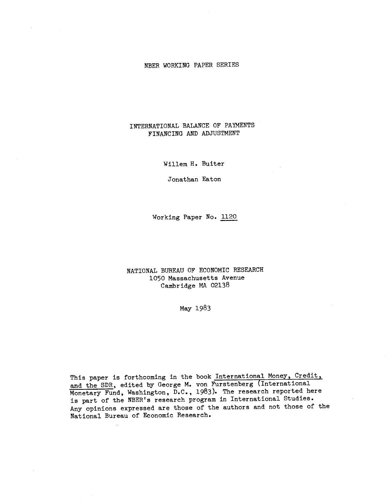# NBER WORKING PAPER SERIES

# INTERNATIONAL BALANCE OF PAYMENTS FINANCING AND ADJUSTMENT

Willem H. Buiter

Jonathan Eaton

Working Paper No. 1120

NATIONAL BUREAU OF ECONOMIC RESEARCH 1050 Massachusetts Avenue Cambridge MA 02138

May 1983

This paper is forthcoming in the book International Money, Credit, and the SDR, edited by George M. von Furstenberg (International Monetary Fund, Washington, D.C., 1983). The research reported here is part of the NBER's research program in International Studies. Any- opinions expressed are those of the authors and not those of the National Bureau of Economic Research.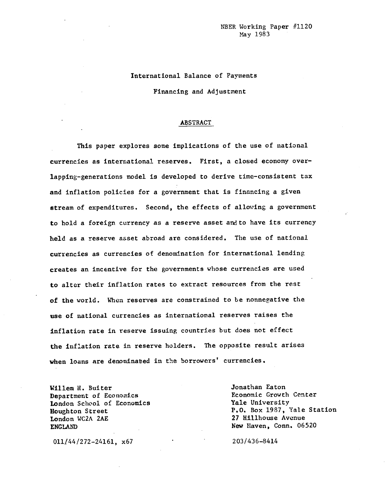# International Balance of Payments

Financing and Adjustment

### ABSTRACT

This paper explores some implications of the use of national currencies as international reserves. First, a closed economy overlapping—generations model is developed to derive time—consistent tax and inflation policies for a government that is financing a given stream.of expenditures. Second, the effects of allowing a government to hold a foreign currency as a reserve asset and to have its currency held as a reserve asset abroad are considered. The use of national currencies as currencies of denomination for international lending creates an incentive for the governments whose currencies are used to alter their Inflation rates to extract resources from the rest of the world. When reserves are constrained to be nonnegative the use of national currencies as international reserves raises the inflation rate In reserve issuing countries but does not effect the Inflation rate in reserve holders. The opposite result arises when loans are denominated in the borrowers' currencies.

Willem H. Buiter **Jonathan Eaton**<br> **Department of Economics Jonathan Eaton**<br> **Department of Economics** Department of Economics<br> **London Scheol of Economics**<br> **Conomic Scheol of Economics**<br> **Economic Scheol of Economics** London School of Economics London WC2A 2AE 27 Hillhouse Avenue ENGLAND New Haven, Conn. 06520

Houghton Street P.O. Box 1987, Yale Station

011/44/272-24161, x67 203/436-8414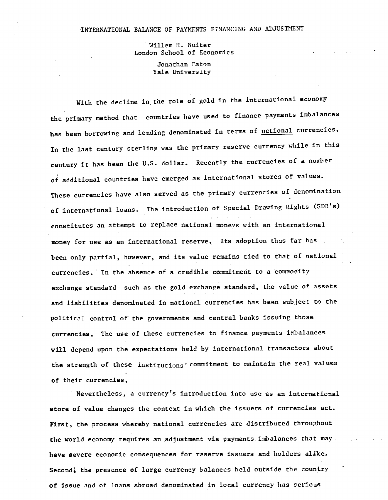## INTERNATIONAL BALANCE OF PAYMENTS FINANCING AND ADJUSTMENT

Willem H. Buiter London School of Economics

> Jonathan Eaton Yale University

With the decline in the role of gold in the international economy the primary method that countries have used to finance payments imbalances has been borrowing and lending denominated in terms of national currencies. In the last century sterling was the primary reserve currency while in this century it has been the U.S. dollar. Recently the currencies of a number of additional countries have emerged as international stores of values. These currencies have also served as the primary currencies of denomination of international loans. The introduction of Special Drawing Rights (SDR's) constitutes an attempt to replace national moneys with an international money for use as an international reserve. Its adoption thus far has been only partial, however, and its value remains tied to that of national currencies. In the absence of a credible commitment to a commodity exchange standard such as the gold exchange standard, the value of assets and liabilities denominated in national currencies has been subject to the political control of the governments and central banks issuing those currencies. The use of these currencies to finance payments imbalances will depend upon the expectations held by international transactors about the strength of these institutions' commitment to maintain the real values of their currencies,

Nevertheless, a currency's introduction into use as an international store of value changes the context in which the issuers of currencies act. First, the process whereby national currencies are distributed throughout the world economy requires an adjustment via payments imbalances that may. have severe economic consequences for reserve issuers and holders alike. Second, the presence of large currency balances held outside the country of issue and of loans abroad denominated in local currency has serious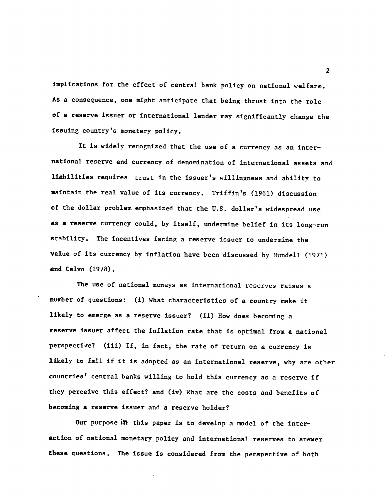implications for the effect of central bank policy on national welfare. As a consequence, one might anticipate that being thrust Into the role of a reserve issuer or international lender may significantly change the issuing country's monetary policy.

It is widely recognized that the use of a currency as an inter national reserve and currency of denomination of international assets and liabilities requires trust in the issuer's willingness and ability to maintain the real value of its currency. Triffin's (1961) discussion of the dollar problem emphasized that the U.S. dollar's widespread use as a reserve currency could, by itself, undermine belief in its long—run stability. The incentives facing a reserve Issuer to undermine the value of its currency by inflation have been discussed by Mundell (1971) and Calvo (1978).

The use of national moneys as international reserves raises a number of questions: (i) What characteristics of a country make it likely to emerge as a reserve issuer? (ii) How does becoming a reserve issuer affect the inflation rate that is optimal from a national perspective? (iii) If, in fact, the rate of return on a currency is likely to fall if it is adopted as an international reserve, why are other countries' central banks willing to hold this currency as a reserve if they perceive this effect? and (iv) What are the costs and benefits of becoming a reserve issuer and a reserve holder?

Our purpose in this paper is to develop a model of the interaction of national monetary policy and international reserves to answer these questions. The issue is considered from the perspective of both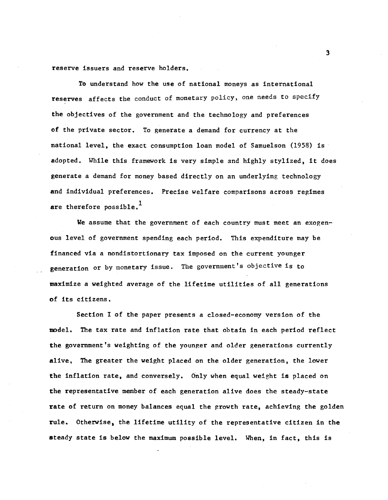reserve issuers and reserve holders.

To understand how the use of national moneys as international reserves affects the conduct of monetary policy, one needs to specify the objectives of the government and the technology and preferences of the private sector. To generate a demand for currency at the national level, the exact consumption loan model of Samuelson (1958) is adopted. While this framework is very simple and highly stylized, it does generate a demand for money based directly on an underlying technology and individual preferences. Precise welfare comparisons across regimes are therefore possible. $<sup>1</sup>$ </sup>

We assume that the government of each country must meet an exogenous level of government spending each period. This expenditure may be financed via a nondistortionary tax imposed on the current younger generation or by monetary issue. The government's objective is to waximize a weighted average of the lifetime utilities of all generations of its citizens.

Section I of the paper presents a closed—economy version of the model. The tax rate and inflation rate that obtain in each period reflect the government's weighting of the younger and older generations currently alive, The greater the weight placed on the older generation, the lower the inflation rate, and conversely. Only when equal weight is placed on the representative member of each generation alive does the steady—state rate of return on money balances equal the growth rate, achieving the golden rule. Otherwise, the lifetime utility of the representative citizen in the steady state is below the maximum possible level. When, in fact, this is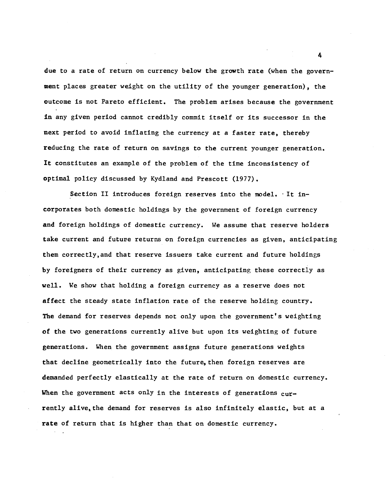due to a rate of return on currency below the growth rate (when the govern ment places greater weight on the utility of the younger generation), the outcome is not Pareto efficient. The problem arises because the government in any given period cannot credibly commit itself or its successor in the next period to avoid inflating the currency at a faster rate, thereby reducing the rate of return on savings to the current younger generation. It constitutes an example of the problem of the time inconsistency of optimal policy discussed by Kydland and Prescott (1977).

Section II introduces foreign reserves into the model. It incorporates both domestic holdings by the government of foreign currency and foreign holdings of domestic currency. We assume that reserve holders take current and future returns on foreign currencies as given, anticipating them correctly,and that reserve issuers take current and future holdings by foreigners of their currency as given, anticipating these correctly as well. We show that holding a foreign currency as a reserve does not affect the steady state inflation rate of the reserve holding country. The demand for reserves depends not only upon the government's weighting of the two generations currently alive but upon Its weighting of future generations. When the government assigns future generations weights that decline geometrically into the future, then foreign reserves are demanded perfectly elastically at the rate of return on domestic currency. When the government acts only in the interests of generations currently alive, the demand for reserves is also infinitely elastic, but at a rate of return that is higher than that on domestic currency.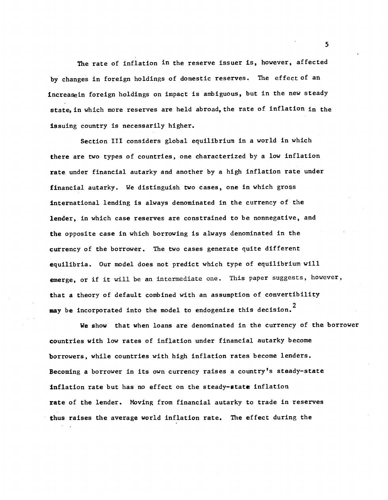The rate of inflation in the reserve issuer is, however, affected by changes in foreign holdings of domestic reserves. The effect of an increasein foreign holdings on impact is ambiguous, but in the new steady state, in which more reserves are held abroad, the rate of inflation in the issuing country is necessarily higher.

Section III considers global equilibrium in a world in which there are two types of countries, one characterized by a low inflation rate under financial autarky and another by a high inflation rate under financial autarky. We distinguish two cases, one in which gross international lending is always denominated in the currency of the lender, in which case reserves are constrained to be nonnegative, and the opposite case in which borrowing Is always denominated in the currency of the borrower. The two cases generate quite different equilibria. Our model does not predict which type of equilibrium will emerge, or if it will be an intermediate one. This paper suggests, however, that a theory of default combined with an assumption of convertibility may be incorporated into the model to endogenize this decision.<sup>2</sup>

We show that when loans are denominated in the currency of the borrower countries with low rates of inflation under financial autarky become borrowers, while countries with high inflation rates become lenders. Becoming a borrower In Its own currency raises a country's steady—state inflation rate but has no effect on the steady-state inflation rate of the lender. Moving from financial autarky to trade in reserves thus raises the average world inflation rate. The effect during the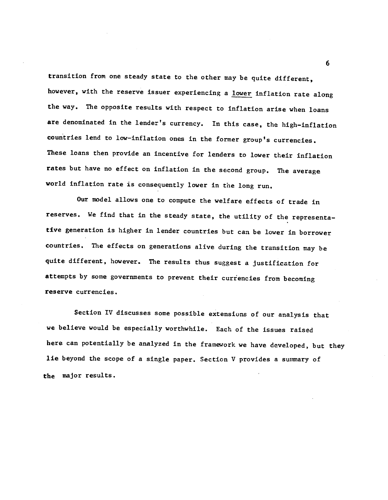transition from one steady state to the other may be quite different, however, with the reserve issuer experiencing a lower inflation rate along the way. The opposite results with respect to inflation arise when loans are denominated in the lender's currency. In this case, the high—inflation countries lend to low—inflation ones in the former group's currencies. These loans then provide an incentive for lenders to lower their inflation rates but have no effect on inflation in the second group. The average world inflation rate is consequently lower in the long run.

Our model allows one to compute the welfare effects of trade in reserves. We find that in the steady state, the utility of the representative generation is higher in lender countries but can be lower in borrower countries. The effects on generations alive during the transition may be quite different, however. The results thus suggest a justification for attempts by some governments to prevent their currencies from becoming reserve currencies.

Section IV discusses some possible extensions of our analysis that we believe would be especially worthwhile. Each of the issues raised here can potentially be analyzed in the framework we have developed, but they lie beyond the scope of a single paper. Section  $V$  provides a summary of the major results.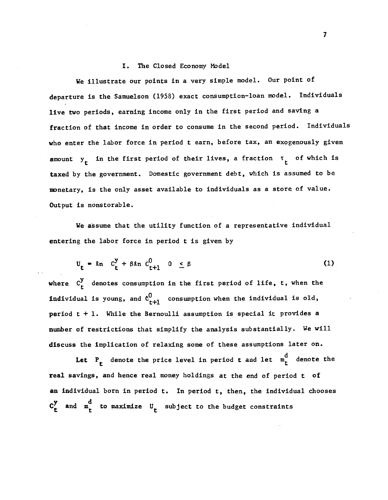### I. The Closed Economy Model

We illustrate our points in a very simple model. Our point of departure is the Samuelson (1958) exact consumption—loan model. Individuals live two periods, earning income only in the first period and saving a fraction of that income in order to consume in the second period. Individuals who enter the labor force in period t earn, before tax, an exogenously given amount  $y_r$  in the first period of their lives, a fraction  $\tau_r$  of which is taxed by the government. Domestic government debt, which is assumed to be nonetary, is the only asset available to individuals as a store of value. Output is nonstorable.

We assume that the utility function of a representative individual entering the labor force in period t is given by

$$
U_{t} = \ln C_{t}^{y} + \beta \ln C_{t+1}^{0} \quad 0 \leq \beta
$$
 (1)

where  $C_t^y$  denotes consumption in the first period of life, t, when the individual is young, and  $c_{t+1}^0$  consumption when the individual is old, period  $t + 1$ . While the Bernoulli assumption is special it provides a number of restrictions that simplify the analysis substantially. We will discuss the implication of relaxing some of these assumptions later on.

Let  $P_t$  denote the price level in period t and let  $m_t^d$  denote the real savings, and hence real money holdings at the end of period t of an individual born in period t. In period t, then, the individual chooses  $C_{t}^{y}$  and  $m_{t}^{d}$  to maximize  $U_{t}$  subject to the budget constraints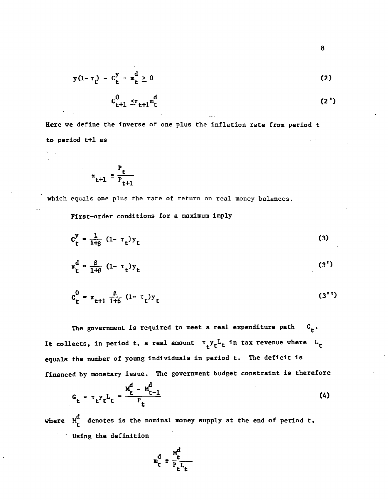$$
y(1-\tau_t) - C_t^y - m_t^d \ge 0
$$
 (2)

$$
c_{t+1}^0 \leq_{\tau_{t+1}}^{\tau_{t}} m_t^d
$$
 (2')

Here we define the inverse of one plus the inflation rate from period t to period t+l as  $\mathbb{Z}^{\mathcal{F}_1}$  , where  $\mathcal{F}_2$ 

$$
\pi_{t+1} \equiv \frac{P_t}{P_{t+1}}
$$

-

in Co

which equals one plus the rate of return on real money balances.

First—order conditions for a maximum imply

$$
C_{t}^{y} = \frac{1}{1+\beta} (1-\tau_{t}) y_{t}
$$
 (3)

$$
\mathbf{m}_{\mathbf{t}}^{\mathbf{d}} = \frac{\beta}{1+\beta} (1 - \tau_{\mathbf{t}}) \mathbf{y}_{\mathbf{t}}
$$
 (3<sup>1</sup>)

$$
c_{t}^{0} = \pi_{t+1} \frac{\beta}{1+\beta} (1-\tau_{t}) y_{t}
$$
 (3'')

The government is required to meet a real expenditure path  $G_{\epsilon}$ . It collects, in period t, a real amount  $\tau_t y_t$ <sup>L</sup>t in tax revenue where L<sub>t</sub> equals the number of young individuals in period t. The deficit is financed by monetary issue. The government budget constraint is therefore

$$
G_{t} - \tau_{t} y_{t} L_{t} = \frac{M_{t}^{d} - M_{t-1}^{d}}{P_{t}}
$$
 (4)

where  $M_t^d$  denotes is the nominal money supply at the end of period t. • Using the definition

$$
m_t^d \equiv \frac{M_t^d}{P_t^L t}
$$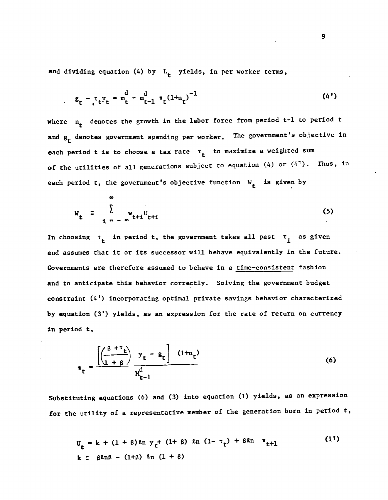and dividing equation (4) by  $L_f$  yields, in per worker terms,

$$
g_t - \tau_t y_t = m_t^d - m_{t-1}^d \tau_t (1 + n_t)^{-1}
$$
 (4')

where  $n_t$  denotes the growth in the labor force from period t-1 to period t and  $g_t$  denotes government spending per worker. The government's objective in each period t is to choose a tax rate  $\tau_t$  to maximize a weighted sum of the utilities of all generations subject to equation (4) or  $(4)$ . Thus, in each period t, the government's objective function  $W_{t}$  is given by

$$
W_{t} = \sum_{i = -\infty}^{T} W_{t+i} U_{t+i}
$$
 (5)

In choosing  $\tau_t$  in period t, the government takes all past  $\tau_t$  as given and assumes that it or its successor will behave equivalently in the future. Governments are therefore assumed to behave in a time—consistent fashion and to anticipate this behavior correctly. Solving the government budget constraint (4') incorporating optimal private savings behavior characterized by equation (3') yields, as an expression for the rate of return on currency in period t,

$$
\mathbf{r}_{t} = \frac{\left[\left(\frac{\beta + \tau_{t}}{1 + \beta}\right) \mathbf{y}_{t} - \mathbf{g}_{t}\right] (1 + n_{t})}{M_{t-1}^{d}}
$$
(6)

Substituting equations (6) and (3) into equation (1) yields, as an expression for the utility of a representative member of the generation born in period t,

$$
U_{t} = k + (1 + \beta) \ln y_{t} + (1 + \beta) \ln (1 - \tau_{t}) + \beta \ln \tau_{t+1}
$$
 (1<sup>1</sup>)  
\n
$$
k \equiv \beta \ln \beta - (1 + \beta) \ln (1 + \beta)
$$

 $\sim$   $\sim$   $\sim$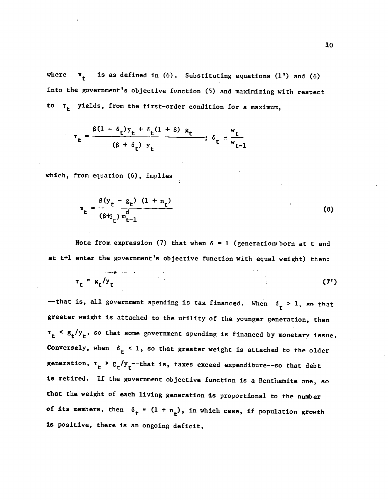where  $\pi_t$  is as defined in (6). Substituting equations (1') and (6) into the government's objective function (5) and maximizing with respect to  $\tau_t$  yields, from the first-order condition for a maximum,

$$
\tau_t = \frac{\beta(1 - \delta_t)y_t + \delta_t(1 + \beta) g_t}{(\beta + \delta_t) y_t}; \delta_t = \frac{w_t}{w_{t-1}}
$$

which, from equation (6), Implies

$$
\pi_{t} = \frac{\beta(y_{t} - g_{t}) (1 + n_{t})}{(\beta + \delta_{t}) m_{t-1}^{d}}
$$
 (8)

Note from expression (7) that when  $\delta = 1$  (generation born at t and at t+1 enter the government's objective function with equal weight) then:

$$
\tau_t = g_t / y_t \tag{7'}
$$

--that is, all government spending is tax financed. When  $\delta_t > 1$ , so that greater weight is attached to the utility of the younger generation, then  $\tau_t$  <  $g_t / y_t$ , so that some government spending is financed by monetary issue. Conversely, when  $\delta_t < 1$ , so that greater weight is attached to the older generation,  $\tau_t > g_t/y_t$ --that is, taxes exceed expenditure--so that debt is retired. If the government objective function is a Benthamite one, so that the weight of each living generation is proportional to the number of its members, then  $\delta_t = (1 + n_t)$ , in which case, if population growth is positive, there is an ongoing deficit.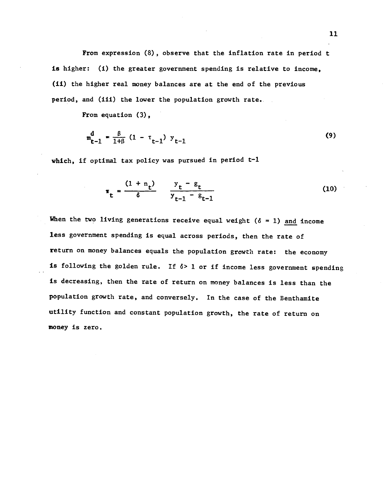From expression (8), observe that the inflation rate in period t is higher: (1) the greater government spending is relative to income, (ii) the higher real money balances are at the end of the previous period, and (iii) the lower the population growth rate.

From equation (3),

$$
m_{t-1}^{d} = \frac{\beta}{1+\beta} (1 - \tau_{t-1}) y_{t-1}
$$
 (9)

which, if optimal tax policy was pursued in period t-1

$$
\pi_{t} = \frac{(1 + n_{t})}{\delta} \qquad \frac{y_{t} - g_{t}}{y_{t-1} - g_{t-1}}
$$
 (10)

When the two living generations receive equal weight ( $\delta = 1$ ) and income less government spending Is equal across periods, then the rate of return on money balances equals the population growth rate: the economy is following the golden rule. If  $\delta$ > 1 or if income less government spending is decreasing, then the rate of return on money balances is less than the population growth rate, and conversely. In the case of the Benthamite utility function and constant population growth, the rate of return on money is zero.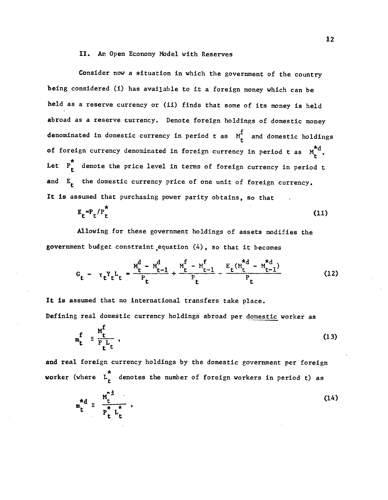### II. An Open Economy Model with Reserves

Consider now a situation in which the government of the country being considered (i) has available to it a foreign money which can be held as a reserve currency or (ii) finds that some of its money is held abroad as a reserve currency. Denote foreign holdings of domestic money denominated in domestic currency in period t as  $M_f^f$  and domestic holdings of foreign currency denominated in foreign currency in period t as  $M_t^{\star d}$ . Let  $P_{+}^{\star}$  denote the price level in terms of foreign currency in period t and  $E_t$  the domestic currency price of one unit of foreign currency. It is assumed that purchasing power parity obtains, so that

$$
E_{t} = P_{t}/P_{t}^{\pi}
$$
 (11)

Allowing for these government holdings of assets modifies the government budget constraint ,equation (4), so that it becomes

$$
G_{t} - \tau_{t} Y_{t} L_{t} = \frac{M_{t}^{d} - M_{t-1}^{d}}{P_{t}} + \frac{M_{t}^{f} - M_{t-1}^{f}}{P_{t}} - \frac{E_{t} (M_{t}^{*d} - M_{t-1}^{*d})}{P_{t}}
$$
(12)

It is assumed that no international transfers take place. Defining real domestic currency holdings abroad per domestic worker as

$$
m_t^f \equiv \frac{m_t^f}{P_t^L t} \tag{13}
$$

and real foreign currency holdings by the domestic government per foreign worker (where  $L_r^*$  denotes the number of foreign workers in period t) as

$$
m_t^{\star d} = \frac{M_t^{\star d}}{P_t^{\star L} L_t^{\star}},
$$
 (14)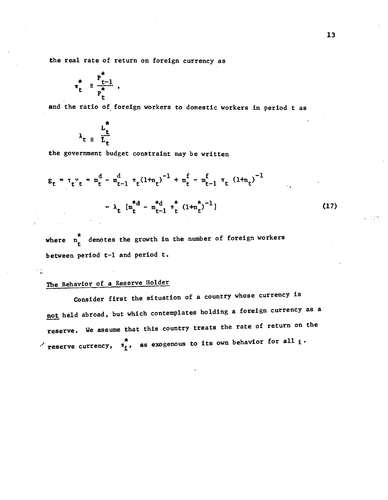the real rate of return on foreign currency as

$$
\pi_t^* = \frac{P_{t-1}^*}{P_t^*} ,
$$

and the ratio of foreign workers to domestic workers in period t as

$$
\lambda_t = \frac{L_t^*}{L_t}
$$

the government budget constraint may be written

$$
g_{t} = \tau_{t} y_{t} = m_{t}^{d} - m_{t-1}^{d} \tau_{t} (1 + n_{t})^{-1} + m_{t}^{f} - m_{t-1}^{f} \tau_{t} (1 + n_{t})^{-1}
$$

$$
- \lambda_{t} [m_{t}^{\star d} - m_{t-1}^{\star d} \tau_{t}^{\star} (1 + n_{t}^{\star})^{-1}]
$$
(17)

where  $n_t^*$  denotes the growth in the number of foreign workers between period t—l and period t.

# The Behavior of a Reserve Holder

Consider first the situation of a country whose currency is not held abroad, but which contemplates holding a foreign currency as a reserve. We assume that this country treats the rate of return on the reserve currency,  $\pi_i^*$ , as exogenous to its own behavior for all  $_i$ .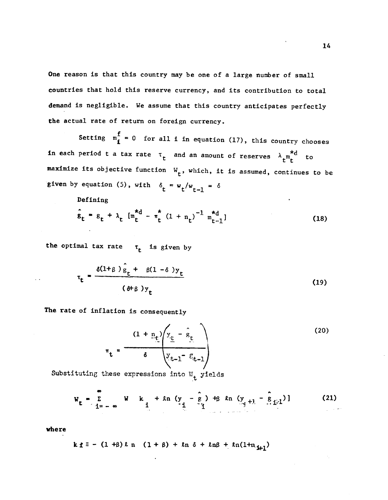One reason is that this country may be one of a large number of small countries that hold this reserve currency, and its contribution to total demand is negligible. We assume that this country anticipates perfectly the actual rate of return on foreign currency.

Setting  $m_{\hat{I}}^{\hat{f}} = 0$  for all i in equation (17), this country chooses in each period t a tax rate  $\tau_t$  and an amount of reserves  $\lambda_{\mu}^{\quad \ *d}_{\mu}$  to maximize its objective function  $W_{\mathbf{t}}$ , which, it is assumed, continues to be given by equation (5), with  $\delta_t = w_t/w_{t-1} = \delta$ 

Defining

$$
\hat{\mathbf{g}}_{t} = \mathbf{g}_{t} + \lambda_{t} \left[ m_{t}^{\star d} - \pi_{t}^{\star} (1 + n_{t})^{-1} m_{t-1}^{\star d} \right]
$$
 (18)

the optimal tax rate  $\tau_t$  is given by

$$
\tau_{t} = \frac{\delta(1+\beta)\hat{g}_{t} + \beta(1-\delta)y_{t}}{(\delta+\beta)y_{t}}
$$
 (19)

The rate of Inflation is consequently

$$
\pi_{t} = \frac{(1 + n_{t}) \left(y_{t} - \hat{g}_{t}\right)}{\delta \left(y_{t-1} - \hat{g}_{t-1}\right)}
$$
(20)

Substituting these expressions into  $W_{t}$  yields

$$
W_{t} = \sum_{i=1}^{\infty} W_{i} + \ln (y - \hat{e}_{i}) + \beta \ln (y + \hat{e}_{i})
$$
 (21)

where

$$
k \pm i = (1 + \beta) \ln (1 + \beta) + \ln \delta + \ln \beta + \ln(1 + n_{\frac{1}{2}})
$$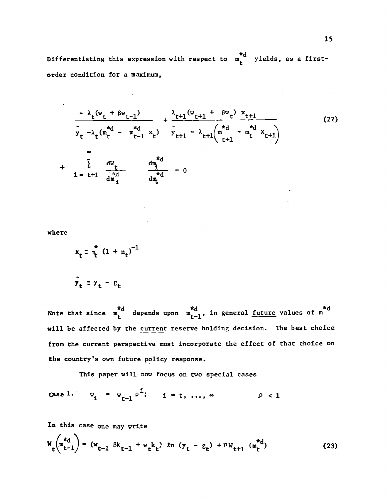Differentiating this expression with respect to  $\pi_t^{*d}$  yields, as a firstorder condition for a maximum,

$$
\frac{-\lambda_{t}(w_{t} + \beta w_{t-1})}{\tilde{y}_{t} - \lambda_{t}(m_{t}^{*d} - m_{t-1}^{*d} x_{t})} + \frac{\lambda_{t+1}(w_{t+1} + \beta w_{t}) x_{t+1}}{\tilde{y}_{t+1} - \lambda_{t+1}(m_{t-1}^{*d} - m_{t}^{*d} x_{t+1})}
$$
(22)  
+ 
$$
\sum_{i=t+1}^{\infty} \frac{dw_{t}}{\frac{dx_{i}}{dm_{i}}} = \frac{dm_{t}^{*d}}{dm_{t}^{*d}} = 0
$$

where

$$
x_t \equiv \frac{\pi}{\tau_t} (1 + n_t)^{-1}
$$

$$
\mathbf{y}_t = \mathbf{y}_t - \mathbf{g}_t
$$

Note that since  $\begin{matrix} *d \\ *d \end{matrix}$  depends upon  $\begin{matrix} *d \\ *d \end{matrix}$ , in general <u>future</u> values of  $\begin{matrix} *d \\ *d \end{matrix}$ will be affected by the current reserve holding decision. The best choice from the current perspective must incorporate the effect of that choice on the country's own future policy response.

This paper will now focus on two special cases

Case 1. 
$$
w_i = w_{t-1} \rho^{1}; \quad i = t, ..., \infty
$$
  $\rho < 1$ 

In this case one may write

$$
W_{t}\left(\begin{matrix} *_{d} \\ t-1 \end{matrix}\right) = (w_{t-1} \beta k_{t-1} + w_{t}k_{t}) \ln (y_{t} - g_{t}) + \rho W_{t+1} \left(\begin{matrix} *_{d} \\ t \end{matrix}\right)
$$
 (23)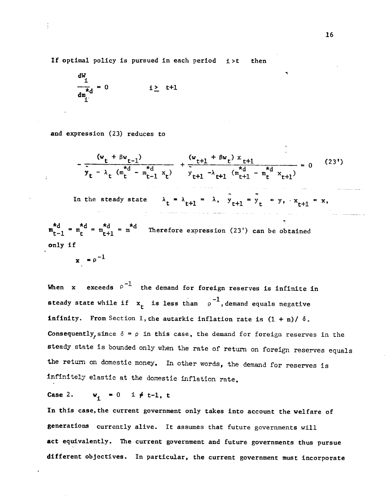If optimal policy is pursued in each period i>t then

$$
\frac{dW_i}{dm_i} = 0 \qquad i \geq t+1
$$

and expression (23) reduces to

$$
-\frac{(w_{t} + \beta w_{t-1})}{\tilde{y}_{t} - \lambda_{t} (m_{t}^{*d} - m_{t-1}^{*d} x_{t})} + \frac{(w_{t+1} + \beta w_{t}) x_{t+1}}{\tilde{y}_{t+1} - \lambda_{t+1} (m_{t+1}^{*d} - m_{t}^{*d} x_{t+1})} = 0
$$
 (23')

In the steady state  $\lambda_t = \lambda_{t+1} = \lambda$ ,  $y_{t+1} = y_t = y$ ,  $x_{t+1} = x$ ,

 $=m^*d = m^*d = m^*d$  There Therefore expression (23') can be obtained only if

 $x = \rho^{-1}$ 

When x exceeds  $\rho^{-1}$  the demand for foreign reserves is infinite in steady state while if  $x_t$  is less than  $\rho^{-1}$ , demand equals negative infinity. From Section I, the autarkic inflation rate is  $(1 + n)/\delta$ . Consequently, since  $\delta = \rho$  in this case, the demand for foreign reserves in the steady state is bounded only when the rate of return on foreign reserves equals the return on domestic money. In other words, the demand for reserves is infinite1y elastic at the domestic inflation rate.

Case 2.  $w_i = 0$  i  $\neq$  t-1, t

In this case, the current government only takes into account the welfare of generations currently alive. It assumes that future governments will act equivalently. The current government and future governments thus pursue different objectives. In particular, the current government must incorporate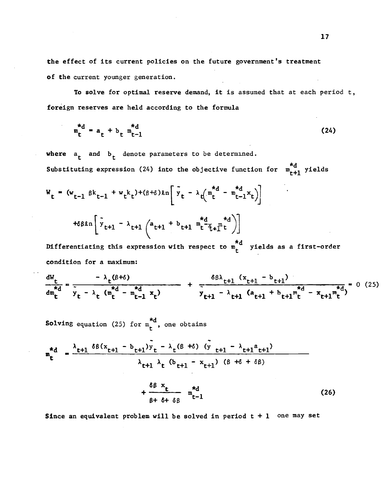the effect of its current policies on the future government's treatment of the current younger generation.

To solve for optimal reserve demand, it is assumed that at each period t, foreign reserves are held according to the formula

$$
m_t^{*d} = a_t + b_t m_{t-1}^{*d}
$$
 (24)

where  $a_t$  and  $b_t$  denote parameters to be determined. Substituting expression (24) into the objective function for  $m_{r+1}^{*d}$  yields

 $W_t = (w_{t-1} \beta k_{t-1} + w_t k_t) + (\beta + \delta) k n \left[ y_t - \lambda_t (m_t^{a} - m_{t-1}^{a} x_t) \right]$ 

$$
\kappa \beta \ell n \left[ \tilde{y}_{t+1} - \lambda_{t+1} \left( a_{t+1} + b_{t+1} \prod_{t=1}^{d} a_{t+1}^{*d} \right) \right]
$$

Differentiating this expression with respect to m<sub>e</sub>" yields as a first-order condition for a maximum:

$$
\frac{dW_{t}}{dm_{t}} = \frac{-\lambda_{t}(\beta+\delta)}{\tilde{y}_{t} - \lambda_{t} (m_{t}^{*d} - m_{t-1}^{*d} x_{t})} + \frac{\delta\beta\lambda_{t+1} (x_{t+1} - b_{t+1})}{\tilde{y}_{t+1} - \lambda_{t+1} (a_{t+1} + b_{t+1}m_{t}^{*d} - x_{t+1}m_{t}^{*d})} = 0 (25)
$$

**Solving** equation (25) for  $m_t^{\star d}$ , one obtains

$$
\mathbf{m}_{t}^{*d} = \frac{\lambda_{t+1} \delta \beta (x_{t+1} - b_{t+1}) y_{t} - \lambda_{t} (\beta + \delta) (y_{t+1} - \lambda_{t+1} a_{t+1})}{\lambda_{t+1} \lambda_{t} (b_{t+1} - x_{t+1}) ( \beta + \delta + \delta \beta)}
$$
\n
$$
+ \frac{\delta \beta x_{t}}{\beta + \delta + \delta \beta} \mathbf{m}_{t-1}^{*d}
$$
\n(26)

Since an equivalent problem will be solved in period  $t + 1$  one may set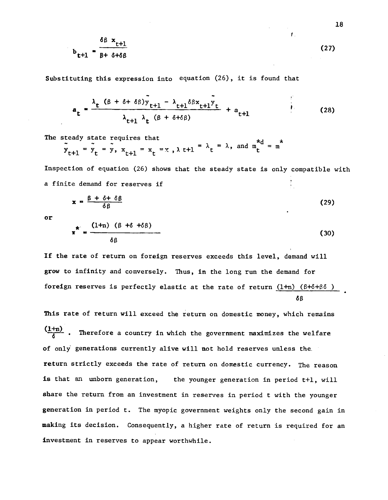$$
b_{t+1} = \frac{\delta \beta x_{t+1}}{\beta + \delta + \delta \beta}
$$
 (27)

Substituting this expression into equation (26), it is found that

$$
a_{t} = \frac{\lambda_{t} (\beta + \delta + \delta \beta) y_{t+1} - \lambda_{t+1} \delta \beta x_{t+1} y_{t}}{\lambda_{t+1} \lambda_{t} (\beta + \delta + \delta \beta)} + a_{t+1}
$$
 (28)

The steady state requires that

$$
\ddot{y}_{t+1} = \ddot{y}_t = \ddot{y}, \quad x_{t+1} = x_t = x, \quad \lambda \text{ t+1} = \lambda_t = \lambda, \quad \text{and} \quad \text{m}^{\text{d}} = \text{m}^{\text{d}}
$$

Inspection of equation (26) shows that the steady state is only compatible with a finite demand for reserves if

$$
x = \frac{\beta + \delta + \delta \beta}{\delta \beta} \tag{29}
$$

or

$$
\pi^* = \frac{(1+n) (\beta + \delta + \delta \beta)}{\delta \beta}
$$
 (30)

If the rate of return on foreign reserves exceeds this level, demand will grow to infinity and conversely. Thus, in the long run the demand for foreign reserves is perfectly elastic at the rate of return  $(1+n)$   $(8+6+86)$ 68

This rate of return will exceed the return on domestic money, which remains  $\frac{(1+n)}{4}$ . Therefore a country in which the government maximizes the welfare of only generations currently alive will not hold reserves unless the. return strictly exceeds the rate of return on domestic currency. The reason is that an unborn generation, the younger generation in period t+l, will share the return from an investment in reserves in period t with the younger generation in period t. The myopic government weights only the second gain in making its decision. Consequently, a higher rate of return is required for an investment in reserves to appear worthwhile.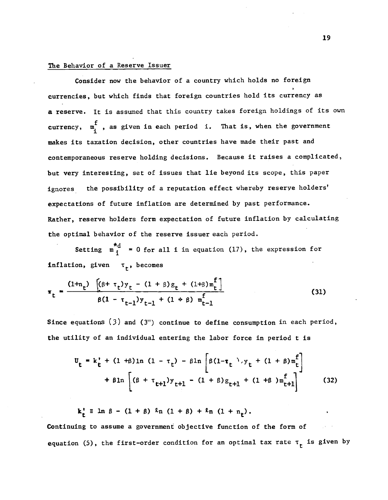# The Behavior of a Reserve Issuer

Consider now the behavior of a country which holds no foreign currencies, but which finds that foreign countries hold its currency as a reserve. It is assumed that this country takes foreign holdings of its own currency,  $m_i^f$ , as given in each period i. That is, when the government makes its taxation decision, other countries have made their past and contemporaneous reserve holding decisions. Because it raises a complicated, but very Interesting, set of issues that lie beyond its scope, this paper ignores the possibility of a reputation effect whereby reserve holders' expectations of future inflation are determined by past performance. Rather, reserve holders form expectation of future inflation by calculating the optimal behavior of the reserve issuer each period.

Setting  $\mathbf{m}_i^{\star d}$  = 0 for all i in equation (17), the expression for inflation, given  $\tau_{+}$ , becomes

$$
\pi_{t} = \frac{(1 + n_{t}) \left[ (\beta + \tau_{t}) y_{t} - (1 + \beta) g_{t} + (1 + \beta) m_{t}^{T} \right]}{\beta (1 - \tau_{t-1}) y_{t-1} + (1 + \beta) m_{t-1}^{T}}
$$
(31)

Since equations  $(3)$  and  $(3'')$  continue to define consumption in each period, the utility of an individual entering the labor force in period t is

$$
\mathbf{U}_{t} = k_{t}^{*} + (1 + \beta) \ln (1 - \tau_{t}) - \beta \ln \left[ \beta (1 - \tau_{t}) \cdot y_{t} + (1 + \beta) m_{t}^{f} \right] + \beta \ln \left[ (\beta + \tau_{t+1}) y_{t+1} - (1 + \beta) g_{t+1} + (1 + \beta) m_{t+1}^{f} \right] \qquad (32)
$$

 $k_{+}^{\dagger}$  = ln  $\beta$  - (1 +  $\beta$ )  $\ell_{n}$  (1 +  $\beta$ ) +  $\ell_{n}$  (1 +  $n_{+}$ ).

Continuing to assume a government objective function of the form of equation (5), the first-order condition for an optimal tax rate  $\tau_t$  is given by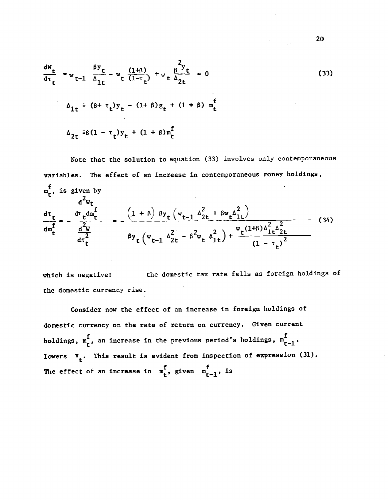$$
\frac{dW_t}{d\tau_t} = w_{t-1} \frac{\beta y_t}{\Delta_{1t}} - w_t \frac{(1+\beta)}{(1-\tau_t)} + w_t \frac{\beta y_t}{\Delta_{2t}} = 0
$$
\n
$$
\Delta_{1t} = (\beta + \tau_t) y_t - (1+\beta) g_t + (1+\beta) m_t^f
$$
\n
$$
\Delta_{2t} = \beta (1 - \tau_t) y_t + (1+\beta) m_t^f
$$
\n(33)

Note that the solution to equation (33) involves only contemporaneous variables. The effect of an increase in contemporaneous money holdings, is given by  $dW_t$  $\frac{d\tau_t}{dt}$  =  $-\frac{\frac{d\tau_t d\tau_t}{dt}}{2}$  =  $-\frac{(1+\beta) \beta y_t (v_{t-1} \Delta_{2t}^2 + \beta w_t \Delta_{1t}^2)}{2}$  $\frac{d^2w}{dx^2}$  =  $\frac{2w}{2}$   $\frac{2w}{2}$   $\frac{w_r(1+\beta)\Delta_{1\beta}^2}{2\pi}$  (34)  ${}^{\beta}y_{t}$  ( ${}^{w}t-1$   ${}^{\Delta}2t$  -  ${}^{\beta}Z_{w}$   ${}^{\Delta}1t$ ) +  $\frac{{}^{\omega}t^{(1+p)\Delta}1t^{2}2t}{(1-\tau_{r})^{2}}$ 

which is negative: the domestic tax rate falls as foreign holdings of the domestic currency rise.

Consider now the effect of an increase in foreign holdings of domestic currency on the rate of return on currency. Given current holdings,  $m_t^f$ , an increase in the previous period's holdings,  $m_{t-1}^f$ , lowers  $\pi$ <sub>r</sub>. This result is evident from inspection of expression (31). The effect of an increase in  $m_t^f$ , given  $m_{t-1}^f$ , is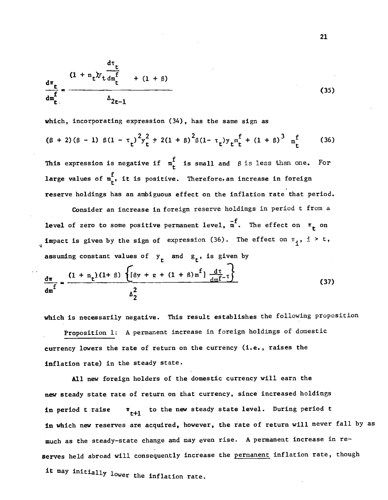$$
\frac{d\tau_t}{dm_t^f} = \frac{(1 + n_t)y_t \frac{d\tau_t}{dm_t^f}}{\Delta_{2t-1}}
$$
 (35)

which, incorporating expression (34), has the same sign as

$$
(\beta + 2)(\beta - 1) \beta (1 - \tau_t)^2 y_t^2 + 2(1 + \beta)^2 \beta (1 - \tau_t) y_t^{\pi} \eta_t^f + (1 + \beta)^3 \eta_t^f \qquad (36)
$$

This expression is negative if  $m_t^f$  is small and  $\beta$  is less than one. For large values of  $m_t^f$ , it is positive. Therefore, an increase in foreign reserve holdings has an ambiguous effect on the inflation rate that period.

Consider an increase in foreign reserve holdings in period t from a level of zero to some positive permanent level,  $\overline{m}^f$ . The effect on  $\pi_{\uparrow}$  on **impact is given by the sign of expression (36).** The effect on  $\pi_1$ , i > t, assuming constant values of  $y_t$  and  $g_t$ , is given by  $(1 + n_r)(1 + \beta)$   $\left\{ \left[ \beta y + g + (1 + \beta) m^{\text{T}} \right] \frac{d\tau}{dx} \right\}$ 

$$
\frac{d\pi}{dm^f} = \frac{(1 + n_t)(1 + \beta) \left\{ [\beta y + g + (1 + \beta) m^f] \frac{d\tau}{dm^f} \tau \right\}}{\Delta_2^2}
$$
(37)

which is necessarily negative. This result establishes the following proposition Proposition 1: A permanent increase in foreign holdings of domestic currency lowers the rate of return on the currency (i.e., raises the inflation rate) in the steady state.

All new foreign holders of the domestic currency will earn the new steady state rate of return on that currency, since increased holdings in period t raise  $\pi_{t+1}$  to the new steady state level. During period t in which new reserves are acquired, however, the rate of return will never fall by as much as the steady—state change and may even rise. A permanent increase in reserves held abroad will consequently increase the permanent inflation rate, though it may initially lower the inflation rate.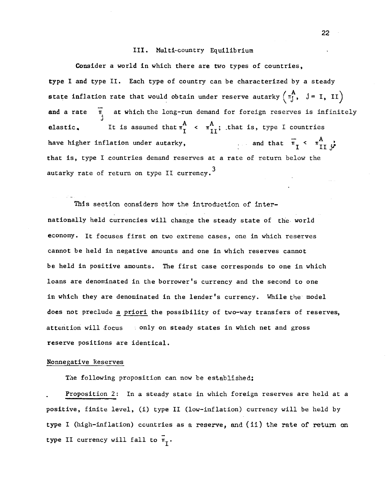### III. Multi—country Equilibrium

Consider a world in which there are two types of countries, type I and type II. Each type of country can be characterized by a steady state inflation rate that would obtain under reserve autarky  $\begin{pmatrix} A \\ \pi_j^1, & j = I, & II \end{pmatrix}$ and a rate  $\overline{n}$  at which the long-run demand for foreign reserves is infinitely elastic. It is assumed that  $\pi_{\text{I}}^{\text{A}} \leftarrow \pi_{\text{II}}^{\text{A}}$ ; that is, type I countries<br>have higher inflation under autarky, and that  $\pi_{\text{I}} \leftarrow \pi_{\text{II}}^{\text{A}}$ . have higher inflation under autarky, that is, type I countries demand reserves at a rate of return below the autarky rate of return on type II currency.<sup>3</sup>

This section considers how the introduction of internationally held currencies will change the steady state of the world economy. it focuses first on two extreme cases, one in which reserves cannot be held in negative amounts and one in which reserves cannot be held in positive amounts. The first case corresponds to one in which loans are denominated in the borrower's currency and the second to one in which they are denominated in the lender's currency. While the model does not preclude a priori the possibility of two—way transfers of reserves, attention will focus only on steady states in which net and gross reserve positions are identical.

# Nonnegative Reserves

The following proposition can now be established;

Proposition 2: In a steady state in which foreign reserves are held at a positive, finite level, (i) type II (low—inflation) currency will be held by type I (high-inflation) countries as a reserve, and (ii) the rate of return on type II currency will fall to  $\bar{\pi}_{\tau}$ .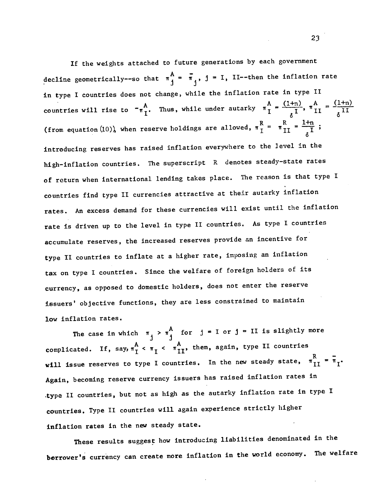If the weights attached to future generations by each government decline geometrically--so that  $\pi \frac{A}{j} = \bar{\pi}_j$ ,  $j = I$ , II--then the inflation rate in type I countries does not change, while the inflation rate in type II countries will rise to  $\pi \frac{A}{I}$ . Thus, while under autarky  $\pi \frac{A}{I} = \frac{(1+n)}{I}$ ,  $\pi \frac{A}{II} = \frac{(1+n)}{I}$ (from equation (10)), when reserve holdings are allowed,  $\pi \frac{R}{I} = \pi \frac{R}{II} = \frac{1+n}{I}$ ; introducing reserves has raised inflation everywhere to the level in the high—inflation countries. The superscript R denotes steady—state rates of return when international lending takes place. The reason is that type I countries find type II currencies attractive at their autarky inflation rates. An excess demand for these currencies will exist until the inflation rate is driven up to the level in type II countries. As type I countries accumulate reserves, the increased reserves provide an incentive for type II countries to inflate at a higher rate, imposing an inflation tax on type I countries. Since the welfare of foreign holders of its currency, as opposed to domestic holders, does not enter the reserve issuers' objective functions, they are less constrained to maintain low inflation rates.

The case in which  $\pi_{\underset{1}{\uparrow}} > \pi_{\underset{1}{\uparrow}}^{A}$  for  $j = I$  or  $j = II$  is slightly more complicated. If, say,  $\pi_1^A < \pi_1 < \pi_1^A$ , then, again, type II countries will issue reserves to type I countries. In the new steady state,  $\pi_{II}^{R} = \pi_{I}$ . Again, becoming reserve currency issuers has raised inflation rates in .type II countries, but not as high as the autarky inflation rate in type I countries. Type II countries will again experience strictly higher inflation rates in the new steady state.

These results suggest how introducing liabilities denominated in the borrower's currency can create more inflation in the world economy. The welfare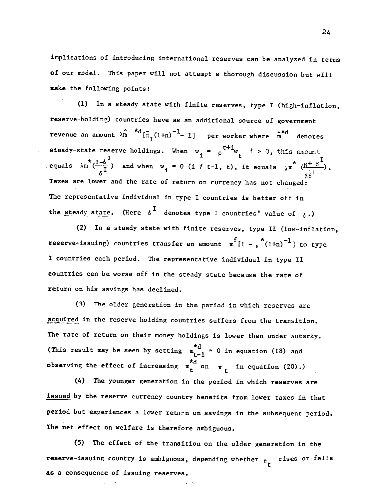Implications of introducing international reserves can be analyzed in terms of our model. This paper will not attempt a thorough discussion but will make the following points:

(1) In a steady state with finite reserves, type I (high—inflation, reserve—holding) countries have as an additional source of government revenue an amount  $\lambda \hat{n}$   $* d_{\pi_1(1+n)}^{-1}$  1] per worker where  $\hat{n}$  denotes steady-state reserve holdings. When  $w_i = \rho^{t+1} w_t$  i > 0, this amount equals  $\lambda m^{*}(\frac{1-\delta^{I}}{\delta^{I}})$  and when  $w_{i} = 0$  (i  $\neq$  t-1, t), it equals  $\lambda m^{*}$   $(\frac{\beta + \delta^{I}}{\delta^{I}})$ . Taxes are lower and the rate of return on currency has not changed: The representative individual in type I countries is better off in the steady state. (Here  $\delta^I$  denotes type I countries' value of  $\delta$ .)

(2) In a steady state with finite reserves, type II (low—inflation, reserve-issuing) countries transfer an amount  $m^{f}[1 - \pi^{*}(1+n)^{-1}]$  to type I countries each period. The representative individual in type II countries can be worse off in the steady state because the rate of return on his savings has declined.

(3) The older generation in the period in which reserves are acquired in the reserve holding countries suffers from the transition. The rate of return on their money holdings is lower than under autarky. (This result may be seen by setting  $\frac{d}{dt}$  = 0 in equation (18) and observing the effect of increasing  $m_t^{\star d}$  on  $\pi_t$  in equation (20).)

(4) The younger generation in the period in which reserves are issued by the reserve currency country benefits from lower taxes in that period but experiences a lower return on savings in the subsequent period. The net effect on welfare Is therefore ambiguous.

(5) The effect of the transition on the older generation in the reserve-issuing country is ambiguous, depending whether  $\pi_r$  rises or falls as a consequence of issuing reserves.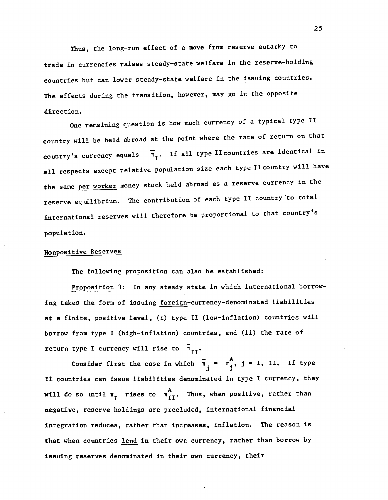Thus, the long—run effect of a move from reserve autarky to trade in currencies raises steady—state welfare in the reserve—holding countries but can lower steady—state welfare in the issuing countries. The effects during the transition, however, may go in the opposite direction.

One remaining question is how much currency of a typical type II country will be held abroad at the point where the rate of return on that country's currency equals  $\overline{\pi}_{T}$ . If all type II countries are identical in all respects except relative population size each type II country will have the same per worker money stock held abroad as a reserve currency in the reserve equilibrium. The contribution of each type II country 'to total international reserves will therefore be proportional to that country's population.

# Nonpositive Reserves

The following proposition can also be established:

Proposition 3: In any steady state in which international borrowing takes the form of issuing foreign-currency-denominated liabilities at a finite, positive level, (i) type II (low—inflation) countries will borrow from type I (high-inflation) countries, and (ii) the rate of return type I currency will rise to  $\bar{\pi}_{TT}$ .

Consider first the case in which  $\bar{\pi}_1 = \pi_1^A$ ,  $j = I$ , II. If type II countries can issue liabilities denominated in type I currency, they will do so until  $\pi$ <sub>I</sub> rises to  $\pi$ <sup>A</sup><sub>II</sub>. Thus, when positive, rather than negative, reserve holdings are precluded, international financial integration reduces, rather than increases, inflation. The reason is that when countries lend in their own currency, rather than borrow by issuing reserves denominated in their own currency, their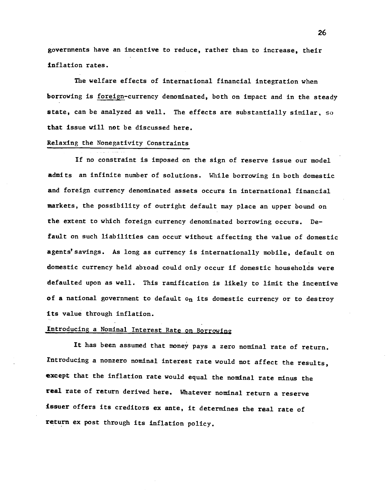governments have an incentive to reduce, rather than to increase, their inflation rates.

The welfare effects of international financial integration when borrowing is foreign—currency denominated, both on impact and in the steady state, can be analyzed as well. The effects are substantially similar, so that issue will not be discussed here.

### Relaxing the Nonegativity Constraints

If no constraint is imposed on the sign of reserve issue our model admits an infinite number of solutions. While borrowing in both domestic and foreign currency denominated assets occurs in international financial markets, the possibility of outright default may place an upper bound on the extent to which foreign currency denominated borrowing occurs. Default on such liabilities can occur without affecting the value of domestic agents'savings. As long as currency is internationally mobile, default on domestic currency held abroad could only occur if domestic households were defaulted upon as well. This ramification is likely to limit the incentive of a national government to default  $o_n$  its domestic currency or to destroy its value through inflation.

# Introducing a Nominal Interest Rate on Borrowing

It has been assumed that money pays a zero nominal rate of return. Introducing a nonzero nominal interest rate would not affect the results, except that the inflation rate would equal the nominal rate minus the real rate of return derived here, Whatever nominal return a reserve issuer offers its creditors ex ante, it determines the real rate of return ex post through its inflation policy.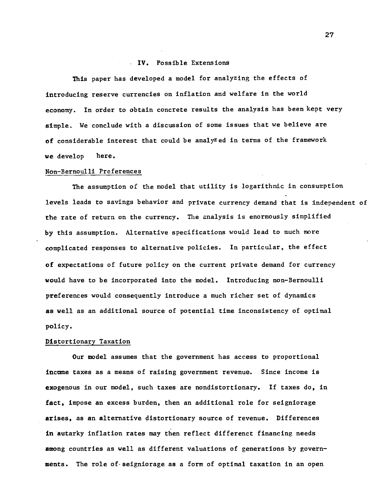# IV. Possible Extensions

This paper has developed a model for analyzing the effects of introducing reserve currencies on inflation and welfare in the world economy. In order to obtain concrete results the analysis has been kept very simple. We conclude with a discussion of some issues that we believe are of considerable interest that could be analyzed in terms of the framework we develop here.

### Non—Bernoulli Preferences

 $\mathcal{L}^{\text{max}}$ 

The assumption of the model that utility is logarithmic in consumption levels leads to savings behavior and private currency demand that is independent of the rate of return on the currency. The analysis is enormously simplified by this assumption. Alternative specifications would lead to much more complicated responses to alternative policies. In particular, the effect of expectations of future policy on the current private demand for currency would have to be incorporated into the model. Introducing non—Bernoulli preferences would consequently introduce a much richer set of dynamics as well as an additional source of potential time inconsistency of optimal policy.

### Distortionary Taxation

Our model assumes that the government has access to proportional income taxes as a means of raising government revenue. Since income is exogenous in our model, such taxes are nondistortionary. If taxes do, in fact, impose an excess burden, then an additional role for seigniorage arises, as an alternative distortionary source of revenue. Differences in autarky inflation rates may then reflect differenct financing needs among countries as well as different valuations of generations by govern ments. The role of• seigniorage as a form of optimal taxation in an open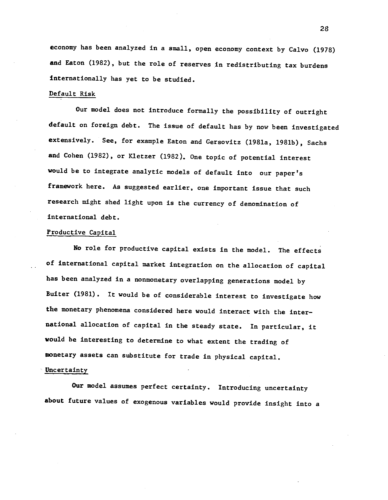economy has been analyzed in a small, open economy context by Calvo (1978) and Eaton (1982), but the role of reserves in redistributing tax burdens internationally has yet to be studied.

# Default Risk

Our model does not introduce formally the possibility of outright default on foreign debt. The issue of default has by now been investigated extensively. See, for example Eaton and Gersovitz (l981a, 1981b), Sachs and Cohen (1982), or Kletzer (1982). One topic of potential interest would be to integrate analytic models of default into our paper's framework here. As suggested earlier, one important issue that such research might shed light upon is the currency of denomination of international debt.

# Productive Capital

No role for productive capital exists in the model. The effects of international capital market integration on the allocation of capital has been analyzed in a nonmonetary overlapping generations model by Buiter (1981). It would be of considerable interest to investigate how the monetary phenomena considered here would interact with the international allocation of capital in the steady state, In particular, it would he interesting to determine to what extent the trading of monetary assets can substitute for trade in physical capital.

### Uncertainty

Our model assumes perfect certainty. Introducing uncertainty about future values of exogenous variables would provide insight Into a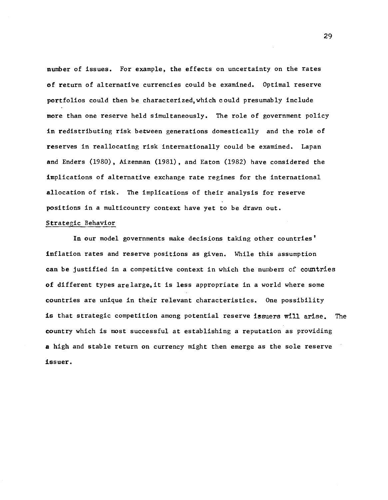number of issues. For example, the effects on uncertainty on the rates of return of alternative currencies could be examined. Optimal reserve portfolios could then be characterized,which could presumably include more than one reserve held simultaneously. The role of government policy in redistributing risk between generations domestically and the role of reserves in reallocating risk internationally could be examined. Lapan and Enders (1980), Aizenman (1981), and Eaton (1982) have considered the implications of alternative exchange rate regimes for the International allocation of risk. The implications of their analysis for reserve positions in a multicountry context have yet to be drawn out.

# Strategic Behavior

In our model governments make decisions taking other countries' inflation rates and reserve positions as given. While this assumption can be justified in a competitive context in which the numbers of countries of different types arelarge,it Is less appropriate in a world where some countries are unique in their relevant characteristics. One possibility is that strategic competition among potential reserve issuers will arise. The country which is most successful at establishing a reputation as providing a high and stable return on currency might then emerge as the sole reserve issuer.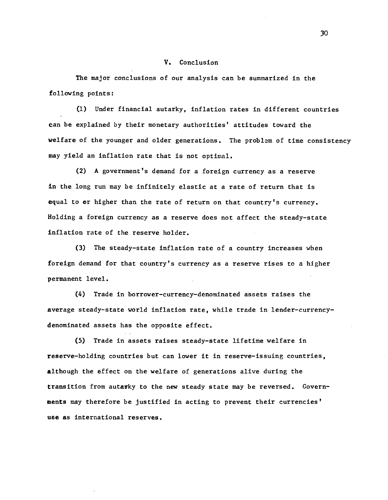## V. Conclusion

The major conclusions of our analysis can be summarized in the following points:

(1) Under financial autarky, inflation rates in different countries can be explained by their monetary authorities' attitudes toward the welfare of the younger and older generations. The problem of time consistency may yield an inflation rate that is not optimal.

(2) A government's demand for a foreign currency as a reserve in the long run may be infinitely elastic at a rate of return that is equal to or higher than the rate of return on that country's currency. Holding a foreign currency as a reserve does not affect the steady—state inflation rate of the reserve holder.

(3) The steady—state inflation rate of a country increases when foreign demand for that country's currency as a reserve rises to a higher permanent level.

(4) Trade in borrower—currency—denominated assets raises the average steady—state world inflation rate, while trade in lender—currency denominated assets has the opposite effect.

(5) Trade in assets raises steady—state lifetime welfare in reserve—holding countries but can lower it in reserve—issuing countries, although the effect on the welfare of generations alive during the transition from autarky to the new steady state may be reversed. Governments may therefore be justified In acting to prevent their currencies' use as International reserves,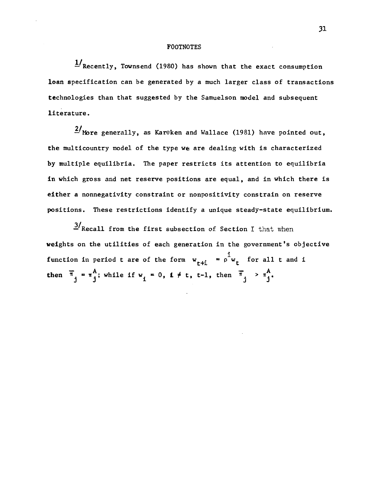#### FOOTNOTES

 $1/R$  Recently, Townsend (1980) has shown that the exact consumption loan specification can be generated by a much larger class of transactions technologies than that suggested by the Samuelson model and subsequent literature.

 $\frac{2}{\pi}$  More generally, as Kareken and Wallace (1981) have pointed out, the multicountry model of the type we are dealing with is characterized by multiple equilibria. The paper restricts its attention to equilibria in which gross and net reserve positions are equal, and in which there is either a nonnegativity constraint or nonpositivity constrain on reserve positions. These restrictions identify a unique steady—state equilibrium.

 $1.3$ <sup>t</sup> Recall from the first subsection of Section I that when weights on the utilities of each generation in the government's objective function in period t are of the form  $w_{t+i} = \rho^{\frac{1}{l}} w_t$  for all t and i then  $\bar{\pi}_j = \pi_j^A$ ; while if  $w_i = 0$ ,  $i \neq t$ ,  $t-1$ , then  $\bar{\pi}_j > \pi_j^A$ .

3].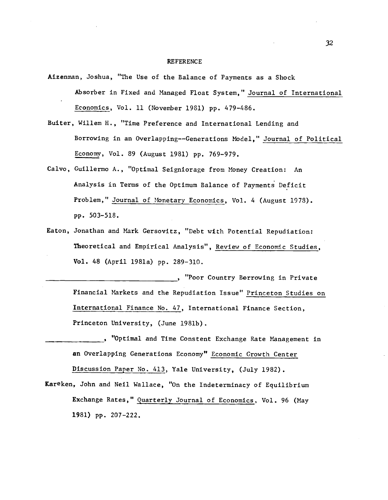### REFERENCE

- Aizenman, Joshua, "The Use of the Balance of Payments as a Shock Absorber in Fixed and Managed Float System," Journal of International Economics, Vol. 11 (November 1981) pp. 479—486.
- Buiter, Willem H,, "Time Preference and International Lending and Borrowing in an Overlapping——Generations Model," Journal of Political Economy, Vol. 89 (August 1981) pp. 769—979.
- Calvo, Cuillermo A., "Optimal Seigniorage from Money Creation: An Analysis in Terms of the Optimum Balance of Payments Deficit Problem," Journal of Monetary Economics, Vol. 4 (August 1973). pp. 503—518.
- Eaton, Jonathan and Mark Gersovitz, "Debt with Potential Repudiation: Theoretical and Empirical Analysis", Review of Economic Studies, Vol. 48 (April 1981a) pp. 289—310.

\_\_\_\_\_\_\_\_\_\_\_\_\_\_\_\_\_\_\_\_\_\_\_\_\_\_\_\_\_\_\_\_\_\_\_ "Poor Country Borrowing In Private Financial Markets and the Repudiation Issue" Princeton Studies on International Finance No. 47, International Finance Section, Princeton University, (June 1981b).

- \_\_\_\_\_\_\_\_\_\_\_\_\_\_\_ "Optimal and Time Cons tent Exchange Rate Management in an Overlapping Generations Economy" Economic Growth Center Discussion Paper No. 413, Yale University, (July 1982).
- Kareken, John and Nell Wallace, "On the Indeterminacy of Equilibrium Exchange Rates," Quarterly Journal of Economics, Vol. 96 (May 1981) pp. 207—222.